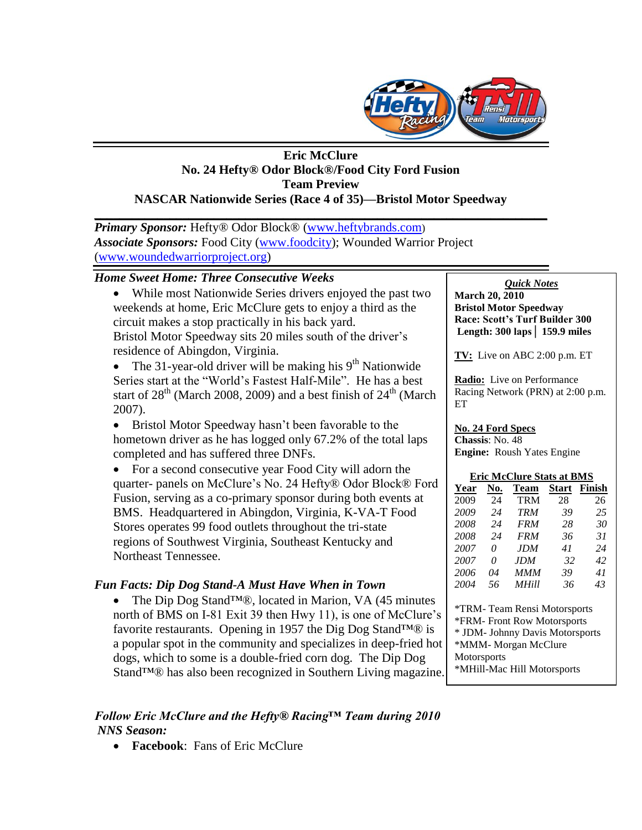

### **Eric McClure No. 24 Hefty® Odor Block®/Food City Ford Fusion Team Preview NASCAR Nationwide Series (Race 4 of 35)—Bristol Motor Speedway**

**\_\_\_\_\_\_\_\_\_\_\_\_\_\_\_\_\_\_\_\_\_\_\_\_\_\_\_\_\_\_\_\_\_\_\_\_\_\_\_\_\_\_\_\_\_\_\_\_\_\_\_\_\_\_\_\_\_\_\_\_\_\_\_\_\_\_\_\_\_\_\_\_** *Primary Sponsor:* Hefty® Odor Block® [\(www.heftybrands.com](http://www.heftybrands.com/)) *Associate Sponsors:* Food City [\(www.foodcity\)](http://www.foodcity/); Wounded Warrior Project [\(www.woundedwarriorproject.org\)](http://www.woundedwarriorproject.org/)

## *Home Sweet Home: Three Consecutive Weeks*

 While most Nationwide Series drivers enjoyed the past two weekends at home, Eric McClure gets to enjoy a third as the circuit makes a stop practically in his back yard. Bristol Motor Speedway sits 20 miles south of the driver's residence of Abingdon, Virginia.

• The 31-year-old driver will be making his  $9<sup>th</sup>$  Nationwide Series start at the "World's Fastest Half-Mile". He has a best start of  $28<sup>th</sup>$  (March 2008, 2009) and a best finish of  $24<sup>th</sup>$  (March 2007).

• Bristol Motor Speedway hasn't been favorable to the hometown driver as he has logged only 67.2% of the total laps completed and has suffered three DNFs.

• For a second consecutive year Food City will adorn the quarter- panels on McClure's No. 24 Hefty® Odor Block® Ford Fusion, serving as a co-primary sponsor during both events at BMS. Headquartered in Abingdon, Virginia, K-VA-T Food Stores operates 99 food outlets throughout the tri-state regions of Southwest Virginia, Southeast Kentucky and Northeast Tennessee.

## *Fun Facts: Dip Dog Stand-A Must Have When in Town*

 The Dip Dog Stand™®, located in Marion, VA (45 minutes north of BMS on I-81 Exit 39 then Hwy 11), is one of McClure's favorite restaurants. Opening in 1957 the Dig Dog Stand $TM@$  is a popular spot in the community and specializes in deep-fried hot dogs, which to some is a double-fried corn dog. The Dip Dog Stand™® has also been recognized in Southern Living magazine.

# *Follow Eric McClure and the Hefty® Racing™ Team during 2010 NNS Season:*

**Facebook**: Fans of Eric McClure

*Quick Notes*

**March 20, 2010 Bristol Motor Speedway Race: Scott's Turf Builder 300 Length: 300 laps│ 159.9 miles**

**TV:** Live on ABC 2:00 p.m. ET

**Radio:** Live on Performance Racing Network (PRN) at 2:00 p.m. ET

#### **No. 24 Ford Specs**

**Chassis**: No. 48 **Engine:** Roush Yates Engine

#### **Eric McClure Stats at BMS**

| Year | No. | Team         | <b>Start</b> | Finish |
|------|-----|--------------|--------------|--------|
| 2009 | 24  | <b>TRM</b>   | 28           | 26     |
| 2009 | 24  | <b>TRM</b>   | 39           | 25     |
| 2008 | 24  | <i>FRM</i>   | 28           | 30     |
| 2008 | 24  | <b>FRM</b>   | 36           | 31     |
| 2007 | 0   | JDM.         | 41           | 24     |
| 2007 | 0   | JDM.         | 32           | 42     |
| 2006 | 04  | MMM          | 39           | 41     |
| 2004 | 56  | <b>MHill</b> | 36           | 43     |
|      |     |              |              |        |

\*TRM- Team Rensi Motorsports \*FRM- Front Row Motorsports \* JDM- Johnny Davis Motorsports \*MMM- Morgan McClure **Motorsports** \*MHill-Mac Hill Motorsports